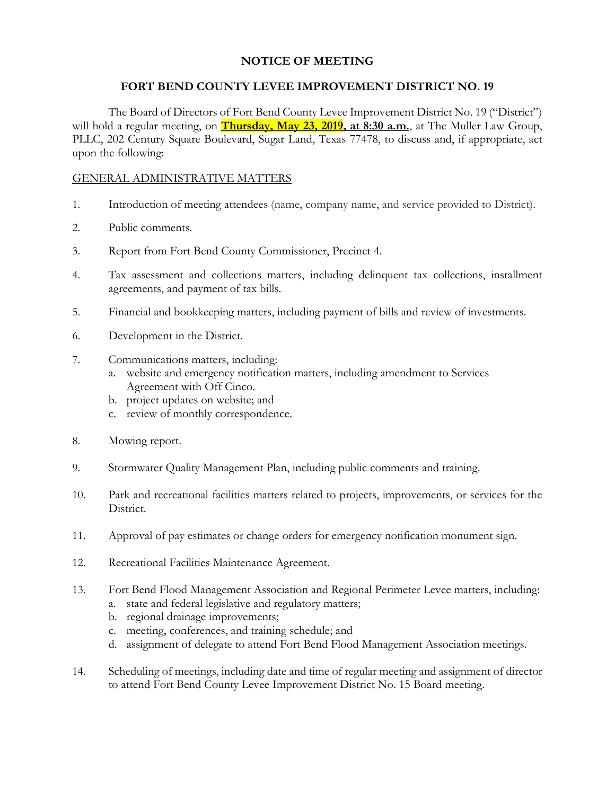# **NOTICE OF MEETING**

## **FORT BEND COUNTY LEVEE IMPROVEMENT DISTRICT NO. 19**

The Board of Directors of Fort Bend County Levee Improvement District No. 19 ("District") will hold a regular meeting, on **Thursday, May 23, 2019, at 8:30 a.m.**, at The Muller Law Group, PLLC, 202 Century Square Boulevard, Sugar Land, Texas 77478, to discuss and, if appropriate, act upon the following:

#### GENERAL ADMINISTRATIVE MATTERS

- 1. Introduction of meeting attendees (name, company name, and service provided to District).
- 2. Public comments.
- 3. Report from Fort Bend County Commissioner, Precinct 4.
- 4. Tax assessment and collections matters, including delinquent tax collections, installment agreements, and payment of tax bills.
- 5. Financial and bookkeeping matters, including payment of bills and review of investments.
- 6. Development in the District.
- 7. Communications matters, including:
	- a. website and emergency notification matters, including amendment to Services Agreement with Off Cinco.
	- b. project updates on website; and
	- c. review of monthly correspondence.
- 8. Mowing report.
- 9. Stormwater Quality Management Plan, including public comments and training.
- 10. Park and recreational facilities matters related to projects, improvements, or services for the District.
- 11. Approval of pay estimates or change orders for emergency notification monument sign.
- 12. Recreational Facilities Maintenance Agreement.
- 13. Fort Bend Flood Management Association and Regional Perimeter Levee matters, including:
	- a. state and federal legislative and regulatory matters;
	- b. regional drainage improvements;
	- c. meeting, conferences, and training schedule; and
	- d. assignment of delegate to attend Fort Bend Flood Management Association meetings.
- 14. Scheduling of meetings, including date and time of regular meeting and assignment of director to attend Fort Bend County Levee Improvement District No. 15 Board meeting.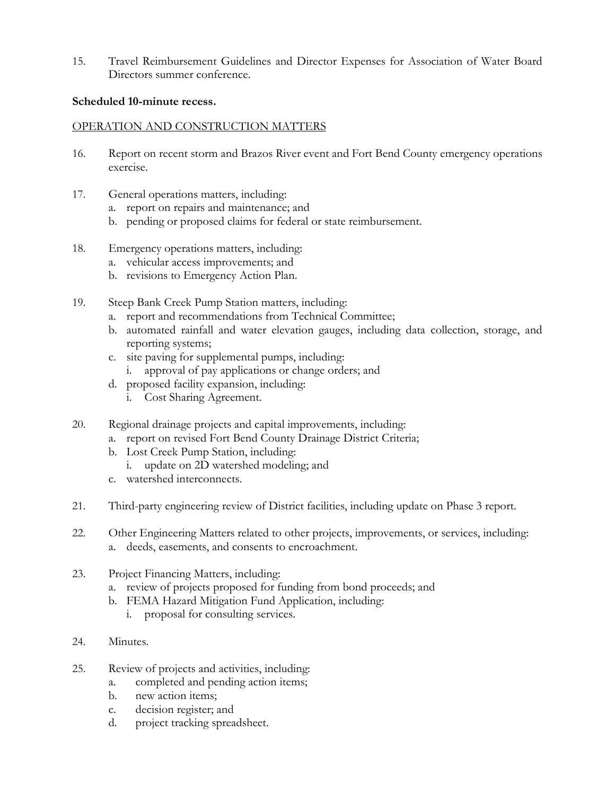15. Travel Reimbursement Guidelines and Director Expenses for Association of Water Board Directors summer conference.

## **Scheduled 10-minute recess.**

## OPERATION AND CONSTRUCTION MATTERS

- 16. Report on recent storm and Brazos River event and Fort Bend County emergency operations exercise.
- 17. General operations matters, including:
	- a. report on repairs and maintenance; and
	- b. pending or proposed claims for federal or state reimbursement.
- 18. Emergency operations matters, including:
	- a. vehicular access improvements; and
	- b. revisions to Emergency Action Plan.
- 19. Steep Bank Creek Pump Station matters, including:
	- a. report and recommendations from Technical Committee;
	- b. automated rainfall and water elevation gauges, including data collection, storage, and reporting systems;
	- c. site paving for supplemental pumps, including:
		- i. approval of pay applications or change orders; and
	- d. proposed facility expansion, including:
		- i. Cost Sharing Agreement.
- 20. Regional drainage projects and capital improvements, including:
	- a. report on revised Fort Bend County Drainage District Criteria;
	- b. Lost Creek Pump Station, including:
		- i. update on 2D watershed modeling; and
	- c. watershed interconnects.
- 21. Third-party engineering review of District facilities, including update on Phase 3 report.
- 22. Other Engineering Matters related to other projects, improvements, or services, including: a. deeds, easements, and consents to encroachment.
- 23. Project Financing Matters, including:
	- a. review of projects proposed for funding from bond proceeds; and
	- b. FEMA Hazard Mitigation Fund Application, including:
		- i. proposal for consulting services.
- 24. Minutes.
- 25. Review of projects and activities, including:
	- a. completed and pending action items;
	- b. new action items;
	- c. decision register; and
	- d. project tracking spreadsheet.